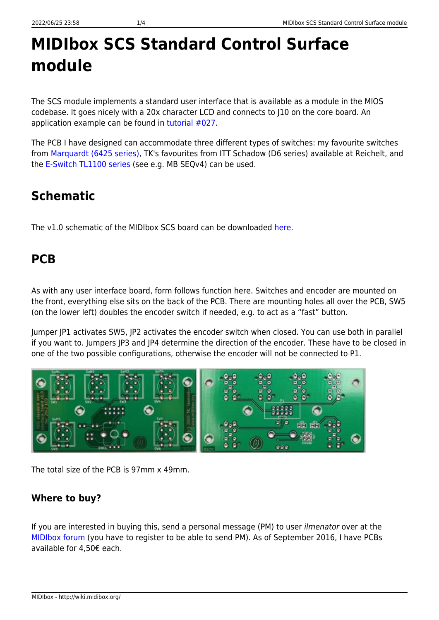# **MIDIbox SCS Standard Control Surface module**

The SCS module implements a standard user interface that is available as a module in the MIOS codebase. It goes nicely with a 20x character LCD and connects to J10 on the core board. An application example can be found in [tutorial #027](http://svnmios.midibox.org/listing.php?repname=svn.mios32&path=%2Ftrunk%2Fapps%2Ftutorials%2F027_scs%2F).

The PCB I have designed can accommodate three different types of switches: my favourite switches from [Marquardt \(6425 series\),](http://wiki.midibox.org/doku.php?id=16x4blm_pcb) TK's favourites from ITT Schadow (D6 series) available at Reichelt, and the [E-Switch TL1100 series](http://wiki.midibox.org/doku.php?id=16x4blm_pcb) (see e.g. MB SEQv4) can be used.

# **Schematic**

The v1.0 schematic of the MIDIbox SCS board can be downloaded [here.](http://wiki.midibox.org/lib/exe/fetch.php?media=home:users:ilmenator:scs_tk:scs_tk_v1.0.pdf)

## **PCB**

As with any user interface board, form follows function here. Switches and encoder are mounted on the front, everything else sits on the back of the PCB. There are mounting holes all over the PCB, SW5 (on the lower left) doubles the encoder switch if needed, e.g. to act as a "fast" button.

Jumper JP1 activates SW5, JP2 activates the encoder switch when closed. You can use both in parallel if you want to. Jumpers JP3 and JP4 determine the direction of the encoder. These have to be closed in one of the two possible configurations, otherwise the encoder will not be connected to P1.



The total size of the PCB is 97mm x 49mm.

#### **Where to buy?**

If you are interested in buying this, send a personal message (PM) to user ilmenator over at the [MIDIbox forum](http://midibox.org/forums/) (you have to register to be able to send PM). As of September 2016, I have PCBs available for 4,50€ each.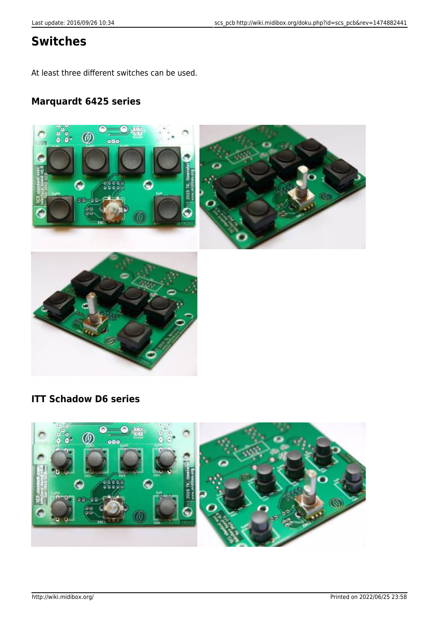## **Switches**

At least three different switches can be used.

#### **Marquardt 6425 series**



### **ITT Schadow D6 series**

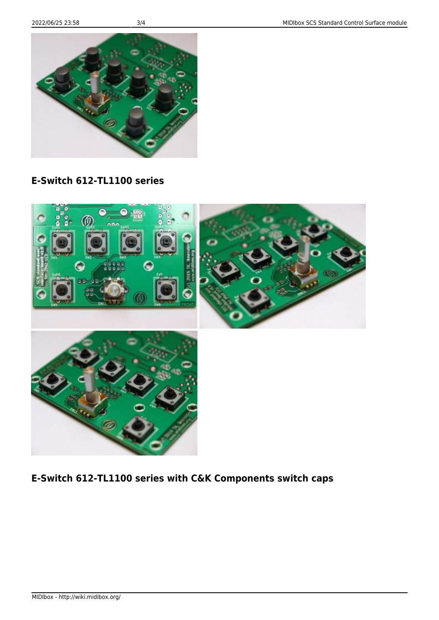MIDIbox - http://wiki.midibox.org/